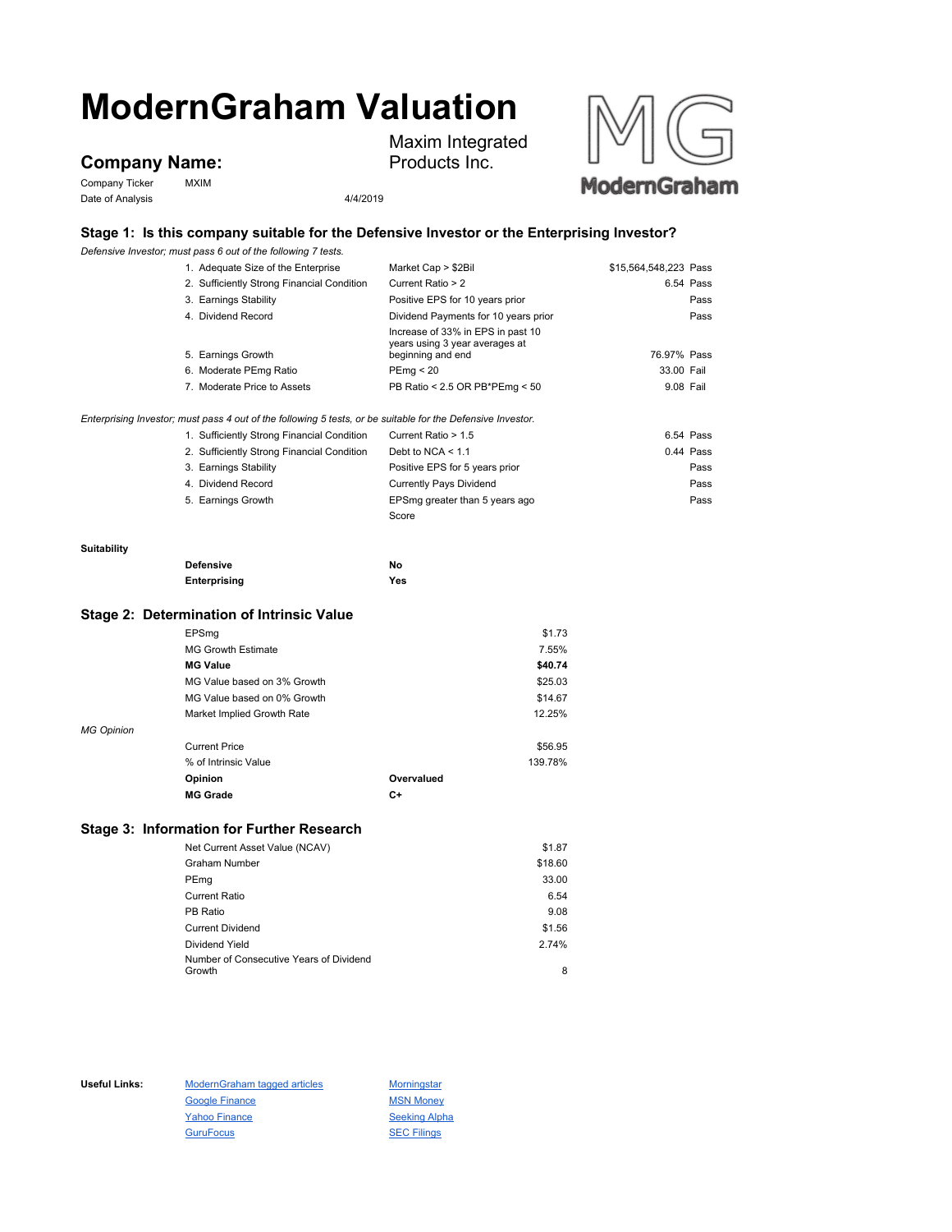# **ModernGraham Valuation**

## **Company Name:**

Company Ticker MXIM Date of Analysis 4/4/2019

Maxim Integrated Products Inc.



## **Stage 1: Is this company suitable for the Defensive Investor or the Enterprising Investor?**

*Defensive Investor; must pass 6 out of the following 7 tests.*

|             | 1. Adequate Size of the Enterprise                                                                          | Market Cap > \$2Bil                                                                      | \$15,564,548,223 Pass |           |
|-------------|-------------------------------------------------------------------------------------------------------------|------------------------------------------------------------------------------------------|-----------------------|-----------|
|             | 2. Sufficiently Strong Financial Condition                                                                  | Current Ratio > 2                                                                        |                       | 6.54 Pass |
|             | 3. Earnings Stability                                                                                       | Positive EPS for 10 years prior                                                          |                       | Pass      |
|             | 4. Dividend Record                                                                                          | Dividend Payments for 10 years prior                                                     |                       | Pass      |
|             | 5. Earnings Growth                                                                                          | Increase of 33% in EPS in past 10<br>years using 3 year averages at<br>beginning and end | 76.97% Pass           |           |
|             | 6. Moderate PEmg Ratio                                                                                      | PEmg < 20                                                                                | 33.00 Fail            |           |
|             | 7. Moderate Price to Assets                                                                                 | PB Ratio < 2.5 OR PB*PEmg < 50                                                           | 9.08 Fail             |           |
|             | Enterprising Investor; must pass 4 out of the following 5 tests, or be suitable for the Defensive Investor. |                                                                                          |                       |           |
|             | 1. Sufficiently Strong Financial Condition                                                                  | Current Ratio > 1.5                                                                      |                       | 6.54 Pass |
|             | 2. Sufficiently Strong Financial Condition                                                                  | Debt to NCA $<$ 1.1                                                                      |                       | 0.44 Pass |
|             | 3. Earnings Stability                                                                                       | Positive EPS for 5 years prior                                                           |                       | Pass      |
|             | 4. Dividend Record                                                                                          | <b>Currently Pays Dividend</b>                                                           |                       | Pass      |
|             | 5. Earnings Growth                                                                                          | EPSmg greater than 5 years ago                                                           |                       | Pass      |
|             |                                                                                                             | Score                                                                                    |                       |           |
| Suitability |                                                                                                             |                                                                                          |                       |           |
|             | <b>Defensive</b>                                                                                            | No                                                                                       |                       |           |
|             | Enterprising                                                                                                | Yes                                                                                      |                       |           |
|             |                                                                                                             |                                                                                          |                       |           |

## **Stage 2: Determination of Intrinsic Value**

|                   | EPSmg                       |            | \$1.73  |
|-------------------|-----------------------------|------------|---------|
|                   | <b>MG Growth Estimate</b>   |            | 7.55%   |
|                   | <b>MG Value</b>             |            | \$40.74 |
|                   | MG Value based on 3% Growth |            | \$25.03 |
|                   | MG Value based on 0% Growth |            | \$14.67 |
|                   | Market Implied Growth Rate  |            | 12.25%  |
| <b>MG Opinion</b> |                             |            |         |
|                   | <b>Current Price</b>        |            | \$56.95 |
|                   | % of Intrinsic Value        |            | 139.78% |
|                   | Opinion                     | Overvalued |         |
|                   | <b>MG Grade</b>             | C+         |         |

#### **Stage 3: Information for Further Research**

| Net Current Asset Value (NCAV)          | \$1.87  |
|-----------------------------------------|---------|
| <b>Graham Number</b>                    | \$18.60 |
| PEmg                                    | 33.00   |
| <b>Current Ratio</b>                    | 6.54    |
| PB Ratio                                | 9.08    |
| <b>Current Dividend</b>                 | \$1.56  |
| Dividend Yield                          | 2.74%   |
| Number of Consecutive Years of Dividend |         |
| Growth                                  | 8       |

Useful Links: ModernGraham tagged articles Morningstar Google Finance MSN Money Yahoo Finance Seeking Alpha GuruFocus **SEC Filings**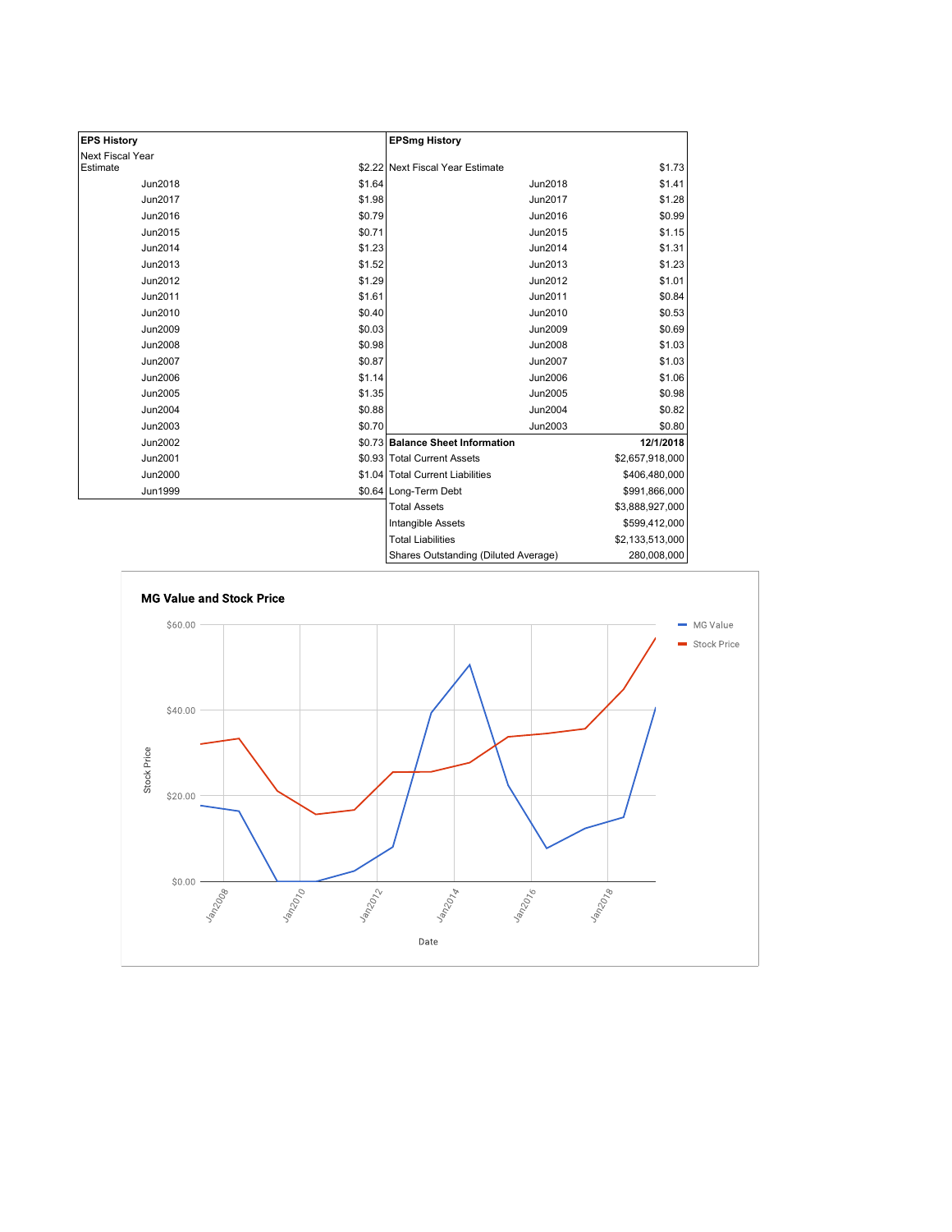| <b>EPS History</b> |        | <b>EPSmg History</b>                 |                 |
|--------------------|--------|--------------------------------------|-----------------|
| Next Fiscal Year   |        |                                      |                 |
| Estimate           |        | \$2.22 Next Fiscal Year Estimate     | \$1.73          |
| Jun2018            | \$1.64 | Jun2018                              | \$1.41          |
| Jun2017            | \$1.98 | Jun2017                              | \$1.28          |
| Jun2016            | \$0.79 | Jun2016                              | \$0.99          |
| Jun2015            | \$0.71 | Jun2015                              | \$1.15          |
| Jun2014            | \$1.23 | Jun2014                              | \$1.31          |
| Jun2013            | \$1.52 | Jun2013                              | \$1.23          |
| Jun2012            | \$1.29 | Jun2012                              | \$1.01          |
| Jun2011            | \$1.61 | Jun2011                              | \$0.84          |
| Jun2010            | \$0.40 | Jun2010                              | \$0.53          |
| Jun2009            | \$0.03 | Jun2009                              | \$0.69          |
| Jun2008            | \$0.98 | Jun2008                              | \$1.03          |
| <b>Jun2007</b>     | \$0.87 | Jun2007                              | \$1.03          |
| Jun2006            | \$1.14 | Jun2006                              | \$1.06          |
| Jun2005            | \$1.35 | Jun2005                              | \$0.98          |
| Jun2004            | \$0.88 | Jun2004                              | \$0.82          |
| Jun2003            | \$0.70 | Jun2003                              | \$0.80          |
| Jun2002            |        | \$0.73 Balance Sheet Information     | 12/1/2018       |
| Jun2001            |        | \$0.93 Total Current Assets          | \$2,657,918,000 |
| Jun2000            |        | \$1.04 Total Current Liabilities     | \$406,480,000   |
| <b>Jun1999</b>     |        | \$0.64 Long-Term Debt                | \$991,866,000   |
|                    |        | <b>Total Assets</b>                  | \$3,888,927,000 |
|                    |        | <b>Intangible Assets</b>             | \$599,412,000   |
|                    |        | <b>Total Liabilities</b>             | \$2,133,513,000 |
|                    |        | Shares Outstanding (Diluted Average) | 280,008,000     |